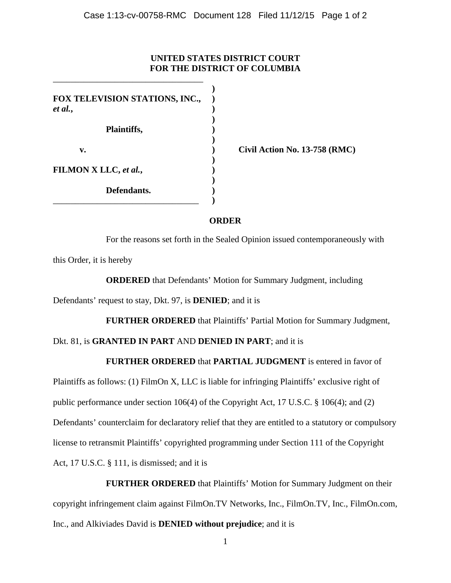## **UNITED STATES DISTRICT COURT FOR THE DISTRICT OF COLUMBIA**

**) FOX TELEVISION STATIONS, INC., )** *et al.***, ) ) Plaintiffs, ) ) v. ) Civil Action No. 13-758 (RMC) ) FILMON X LLC,** *et al.***, ) ) Defendants. )** \_\_\_\_\_\_\_\_\_\_\_\_\_\_\_\_\_\_\_\_\_\_\_\_\_\_\_\_\_\_\_\_\_ **)**

\_\_\_\_\_\_\_\_\_\_\_\_\_\_\_\_\_\_\_\_\_\_\_\_\_\_\_\_\_\_\_\_\_\_

## **ORDER**

For the reasons set forth in the Sealed Opinion issued contemporaneously with this Order, it is hereby

**ORDERED** that Defendants' Motion for Summary Judgment, including

Defendants' request to stay, Dkt. 97, is **DENIED**; and it is

**FURTHER ORDERED** that Plaintiffs' Partial Motion for Summary Judgment,

## Dkt. 81, is **GRANTED IN PART** AND **DENIED IN PART**; and it is

## **FURTHER ORDERED** that **PARTIAL JUDGMENT** is entered in favor of

Plaintiffs as follows: (1) FilmOn X, LLC is liable for infringing Plaintiffs' exclusive right of public performance under section 106(4) of the Copyright Act, 17 U.S.C. § 106(4); and (2) Defendants' counterclaim for declaratory relief that they are entitled to a statutory or compulsory license to retransmit Plaintiffs' copyrighted programming under Section 111 of the Copyright Act, 17 U.S.C. § 111, is dismissed; and it is

**FURTHER ORDERED** that Plaintiffs' Motion for Summary Judgment on their copyright infringement claim against FilmOn.TV Networks, Inc., FilmOn.TV, Inc., FilmOn.com, Inc., and Alkiviades David is **DENIED without prejudice**; and it is